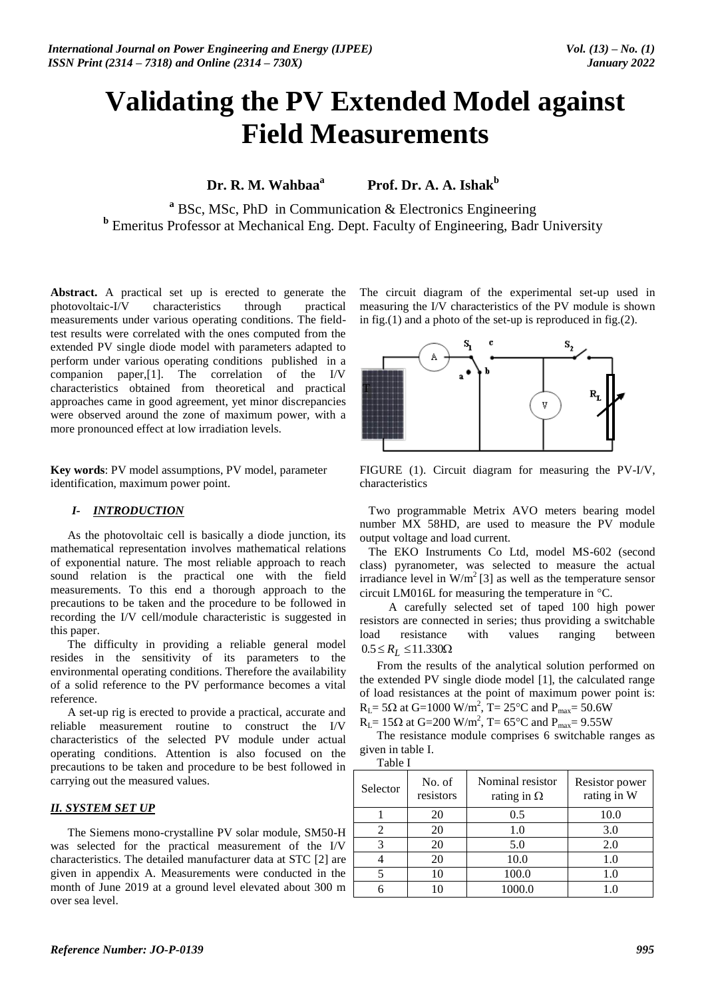# **Validating the PV Extended Model against Field Measurements**

**Dr. R. M. Wahbaa<sup>a</sup> Prof. Dr. A. A. Ishak**<sup>b</sup>

**<sup>a</sup>** BSc, MSc, PhD in Communication & Electronics Engineering **b** Emeritus Professor at Mechanical Eng. Dept. Faculty of Engineering, Badr University

**Abstract.** A practical set up is erected to generate the photovoltaic-I/V characteristics through practical measurements under various operating conditions. The fieldtest results were correlated with the ones computed from the extended PV single diode model with parameters adapted to perform under various operating conditions published in a companion paper,[1]. The correlation of the I/V characteristics obtained from theoretical and practical approaches came in good agreement, yet minor discrepancies were observed around the zone of maximum power, with a more pronounced effect at low irradiation levels.

**Key words**: PV model assumptions, PV model, parameter identification, maximum power point.

# *I- INTRODUCTION*

As the photovoltaic cell is basically a diode junction, its mathematical representation involves mathematical relations of exponential nature. The most reliable approach to reach sound relation is the practical one with the field measurements. To this end a thorough approach to the precautions to be taken and the procedure to be followed in recording the I/V cell/module characteristic is suggested in this paper.

The difficulty in providing a reliable general model resides in the sensitivity of its parameters to the environmental operating conditions. Therefore the availability of a solid reference to the PV performance becomes a vital reference.

A set-up rig is erected to provide a practical, accurate and reliable measurement routine to construct the I/V characteristics of the selected PV module under actual operating conditions. Attention is also focused on the precautions to be taken and procedure to be best followed in carrying out the measured values.

# *II. SYSTEM SET UP*

The Siemens mono-crystalline PV solar module, SM50-H was selected for the practical measurement of the I/V characteristics. The detailed manufacturer data at STC [2] are given in appendix A. Measurements were conducted in the month of June 2019 at a ground level elevated about 300 m over sea level.

The circuit diagram of the experimental set-up used in measuring the I/V characteristics of the PV module is shown in fig.(1) and a photo of the set-up is reproduced in fig.(2).



FIGURE (1). Circuit diagram for measuring the PV-I/V, characteristics

 Two programmable Metrix AVO meters bearing model number MX 58HD, are used to measure the PV module output voltage and load current.

 The EKO Instruments Co Ltd, model MS-602 (second class) pyranometer, was selected to measure the actual irradiance level in  $W/m^2$  [3] as well as the temperature sensor circuit LM016L for measuring the temperature in  $\mathrm{C}$ .

 A carefully selected set of taped 100 high power resistors are connected in series; thus providing a switchable load resistance with values ranging between  $0.5 \le R_L \le 11.330\Omega$ 

From the results of the analytical solution performed on the extended PV single diode model [1], the calculated range of load resistances at the point of maximum power point is:  $R_L$ = 5 $\Omega$  at G=1000 W/m<sup>2</sup>, T= 25°C and P<sub>max</sub>= 50.6W

 $R_L$ = 15 $\Omega$  at G=200 W/m<sup>2</sup>, T= 65°C and P<sub>max</sub>= 9.55W

The resistance module comprises 6 switchable ranges as given in table I.

| Selector | No. of<br>resistors | Nominal resistor<br>rating in $\Omega$ | Resistor power<br>rating in W |
|----------|---------------------|----------------------------------------|-------------------------------|
|          | 20                  | 0.5                                    | 10.0                          |
|          | 20                  | 1.0                                    | 3.0                           |
| 3        | 20                  | 5.0                                    | 2.0                           |
|          | 20                  | 10.0                                   | 1.0                           |
|          | 10                  | 100.0                                  | 1.0                           |
|          |                     | 1000.0                                 |                               |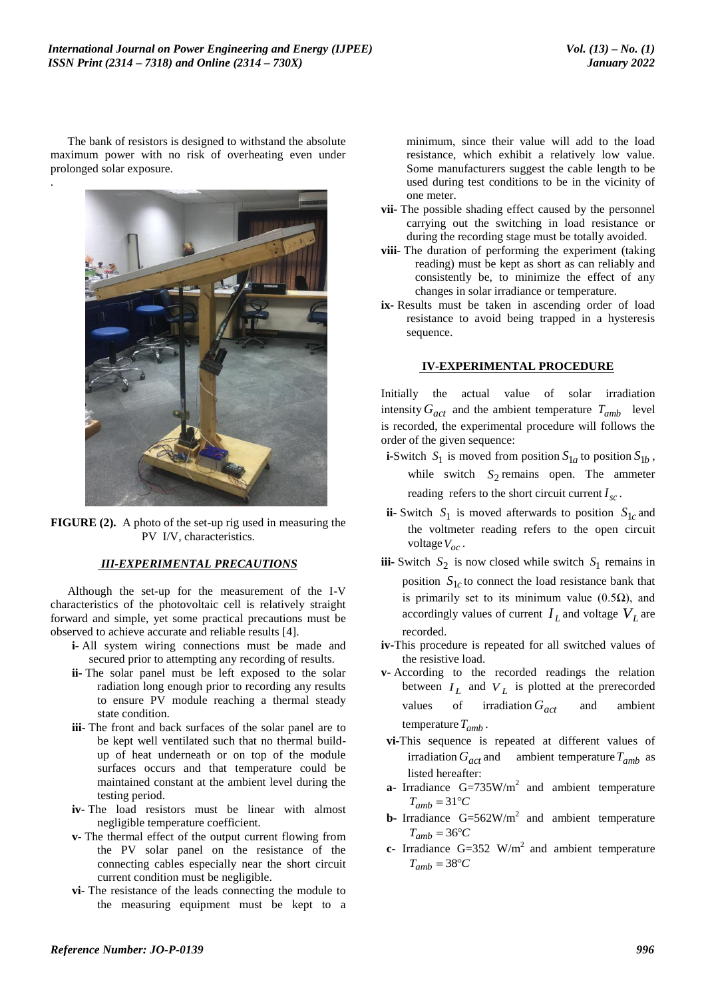The bank of resistors is designed to withstand the absolute maximum power with no risk of overheating even under prolonged solar exposure. .



**FIGURE (2).** A photo of the set-up rig used in measuring the PV I/V, characteristics.

### *III-EXPERIMENTAL PRECAUTIONS*

Although the set-up for the measurement of the I-V characteristics of the photovoltaic cell is relatively straight forward and simple, yet some practical precautions must be observed to achieve accurate and reliable results [4].

- **i-** All system wiring connections must be made and secured prior to attempting any recording of results.
- **ii-** The solar panel must be left exposed to the solar radiation long enough prior to recording any results to ensure PV module reaching a thermal steady state condition.
- **iii-** The front and back surfaces of the solar panel are to be kept well ventilated such that no thermal buildup of heat underneath or on top of the module surfaces occurs and that temperature could be maintained constant at the ambient level during the testing period.
- **iv-** The load resistors must be linear with almost negligible temperature coefficient.
- **v-** The thermal effect of the output current flowing from the PV solar panel on the resistance of the connecting cables especially near the short circuit current condition must be negligible.
- **vi-** The resistance of the leads connecting the module to the measuring equipment must be kept to a

minimum, since their value will add to the load resistance, which exhibit a relatively low value. Some manufacturers suggest the cable length to be used during test conditions to be in the vicinity of one meter.

- **vii-** The possible shading effect caused by the personnel carrying out the switching in load resistance or during the recording stage must be totally avoided.
- **viii-** The duration of performing the experiment (taking reading) must be kept as short as can reliably and consistently be, to minimize the effect of any changes in solar irradiance or temperature.
- **ix-** Results must be taken in ascending order of load resistance to avoid being trapped in a hysteresis sequence.

#### **IV-EXPERIMENTAL PROCEDURE**

Initially the actual value of solar irradiation intensity  $G_{act}$  and the ambient temperature  $T_{amb}$  level is recorded, the experimental procedure will follows the order of the given sequence:

**i**-Switch  $S_1$  is moved from position  $S_{1a}$  to position  $S_{1b}$ , while switch  $S_2$  remains open. The ammeter reading refers to the short circuit current  $I_{sc}$ .

- **ii-** Switch  $S_1$  is moved afterwards to position  $S_{1c}$  and the voltmeter reading refers to the open circuit voltage *Voc* .
- **iii-** Switch  $S_2$  is now closed while switch  $S_1$  remains in position  $S_{1c}$  to connect the load resistance bank that is primarily set to its minimum value  $(0.5\Omega)$ , and accordingly values of current  $I_L$  and voltage  $V_L$  are recorded.
- **iv-**This procedure is repeated for all switched values of the resistive load.
- **v-** According to the recorded readings the relation between  $I_L$  and  $V_L$  is plotted at the prerecorded values of irradiation  $G_{act}$ ambient temperature *Tamb* .
- **vi-**This sequence is repeated at different values of irradiation  $G_{act}$  and ambient temperature  $T_{amb}$  as listed hereafter:
- **a-** Irradiance  $G=735W/m^2$  and ambient temperature  $T_{amb} = 31^{\circ}C$
- **b-** Irradiance  $G=562W/m^2$  and ambient temperature  $T_{amb} = 36$ °C
- **c-** Irradiance  $G=352$  W/m<sup>2</sup> and ambient temperature  $T_{amb} = 38$ °C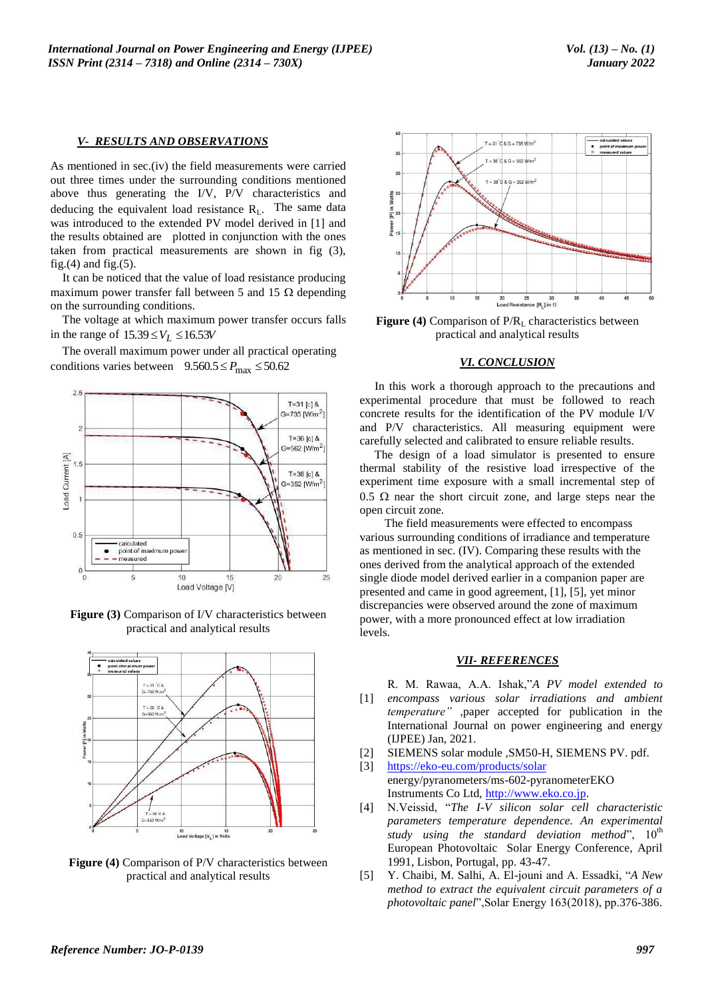#### *V- RESULTS AND OBSERVATIONS*

As mentioned in sec.(iv) the field measurements were carried out three times under the surrounding conditions mentioned above thus generating the I/V, P/V characteristics and deducing the equivalent load resistance  $R_L$ . The same data was introduced to the extended PV model derived in [1] and the results obtained are plotted in conjunction with the ones taken from practical measurements are shown in fig (3), fig. $(4)$  and fig. $(5)$ .

 It can be noticed that the value of load resistance producing maximum power transfer fall between 5 and 15  $\Omega$  depending on the surrounding conditions.

 The voltage at which maximum power transfer occurs falls in the range of  $15.39 \leq V_L \leq 16.53V$ 

 The overall maximum power under all practical operating conditions varies between  $9.560.5 \le P_{\text{max}} \le 50.62$ 



**Figure (3)** Comparison of I/V characteristics between practical and analytical results



**Figure (4)** Comparison of P/V characteristics between practical and analytical results



**Figure (4)** Comparison of P/R<sub>L</sub> characteristics between practical and analytical results

## *VI. CONCLUSION*

 In this work a thorough approach to the precautions and experimental procedure that must be followed to reach concrete results for the identification of the PV module I/V and P/V characteristics. All measuring equipment were carefully selected and calibrated to ensure reliable results.

The design of a load simulator is presented to ensure thermal stability of the resistive load irrespective of the experiment time exposure with a small incremental step of  $0.5 \Omega$  near the short circuit zone, and large steps near the open circuit zone.

 The field measurements were effected to encompass various surrounding conditions of irradiance and temperature as mentioned in sec. (IV). Comparing these results with the ones derived from the analytical approach of the extended single diode model derived earlier in a companion paper are presented and came in good agreement, [1], [5], yet minor discrepancies were observed around the zone of maximum power, with a more pronounced effect at low irradiation levels.

## *VII- REFERENCES*

 $[1]$ R. M. Rawaa, A.A. Ishak,"*A PV model extended to encompass various solar irradiations and ambient temperature"* ,paper accepted for publication in the International Journal on power engineering and energy (IJPEE) Jan, 2021.

- [2] SIEMENS solar module ,SM50-H, SIEMENS PV. pdf.
- [3] <https://eko-eu.com/products/solar> energy/pyranometers/ms-602-pyranometerEKO Instruments Co Ltd, [http://www.eko.co.jp.](http://www.eko.co.jp/)
- [4] N.Veissid, "*The I-V silicon solar cell characteristic parameters temperature dependence. An experimental study using the standard deviation method*",  $10^{th}$ European Photovoltaic Solar Energy Conference, April 1991, Lisbon, Portugal, pp. 43-47.
- [5] Y. Chaibi, M. Salhi, A. El-jouni and A. Essadki, "*A New method to extract the equivalent circuit parameters of a photovoltaic panel*",Solar Energy 163(2018), pp.376-386.